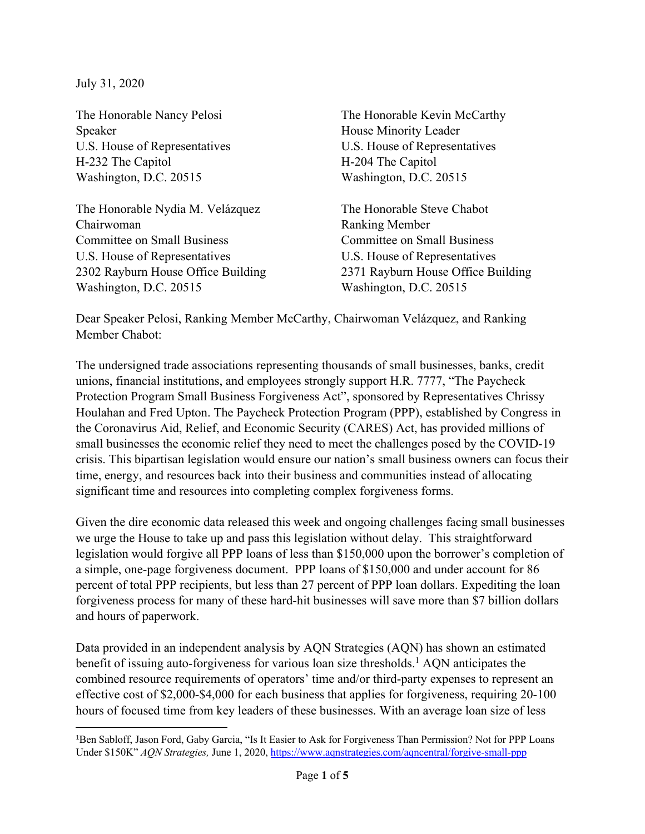July 31, 2020

The Honorable Nancy Pelosi Speaker U.S. House of Representatives H-232 The Capitol Washington, D.C. 20515

The Honorable Nydia M. Velázquez Chairwoman Committee on Small Business U.S. House of Representatives 2302 Rayburn House Office Building Washington, D.C. 20515

The Honorable Kevin McCarthy House Minority Leader U.S. House of Representatives H-204 The Capitol Washington, D.C. 20515

The Honorable Steve Chabot Ranking Member Committee on Small Business U.S. House of Representatives 2371 Rayburn House Office Building Washington, D.C. 20515

Dear Speaker Pelosi, Ranking Member McCarthy, Chairwoman Velázquez, and Ranking Member Chabot:

The undersigned trade associations representing thousands of small businesses, banks, credit unions, financial institutions, and employees strongly support H.R. 7777, "The Paycheck Protection Program Small Business Forgiveness Act", sponsored by Representatives Chrissy Houlahan and Fred Upton. The Paycheck Protection Program (PPP), established by Congress in the Coronavirus Aid, Relief, and Economic Security (CARES) Act, has provided millions of small businesses the economic relief they need to meet the challenges posed by the COVID-19 crisis. This bipartisan legislation would ensure our nation's small business owners can focus their time, energy, and resources back into their business and communities instead of allocating significant time and resources into completing complex forgiveness forms.

Given the dire economic data released this week and ongoing challenges facing small businesses we urge the House to take up and pass this legislation without delay. This straightforward legislation would forgive all PPP loans of less than \$150,000 upon the borrower's completion of a simple, one-page forgiveness document. PPP loans of \$150,000 and under account for 86 percent of total PPP recipients, but less than 27 percent of PPP loan dollars. Expediting the loan forgiveness process for many of these hard-hit businesses will save more than \$7 billion dollars and hours of paperwork.

Data provided in an independent analysis by AQN Strategies (AQN) has shown an estimated benefit of issuing auto-forgiveness for various loan size thresholds.<sup>1</sup> AQN anticipates the combined resource requirements of operators' time and/or third-party expenses to represent an effective cost of \$2,000-\$4,000 for each business that applies for forgiveness, requiring 20-100 hours of focused time from key leaders of these businesses. With an average loan size of less

<sup>1</sup> Ben Sabloff, Jason Ford, Gaby Garcia, "Is It Easier to Ask for Forgiveness Than Permission? Not for PPP Loans Under \$150K" *AQN Strategies,* June 1, 2020, https://www.aqnstrategies.com/aqncentral/forgive-small-ppp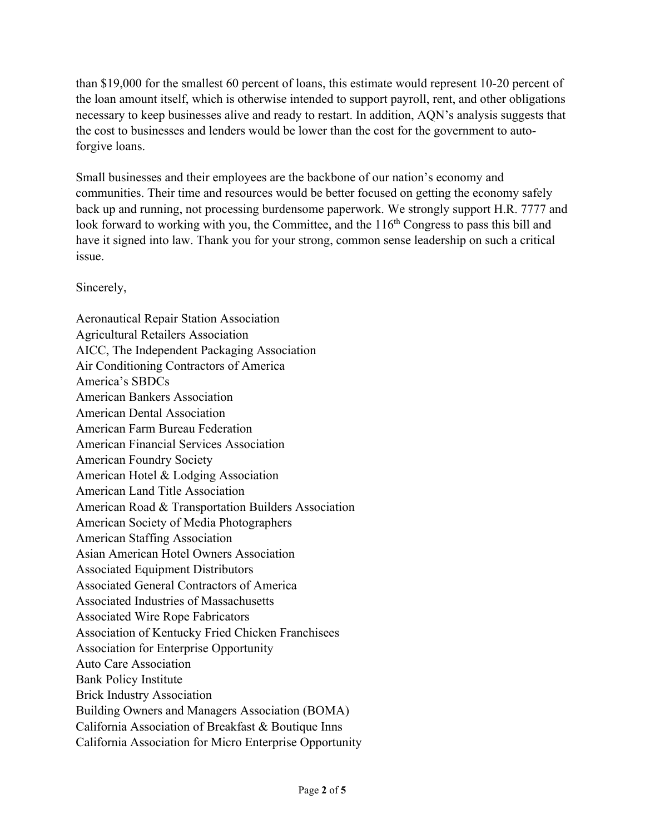than \$19,000 for the smallest 60 percent of loans, this estimate would represent 10-20 percent of the loan amount itself, which is otherwise intended to support payroll, rent, and other obligations necessary to keep businesses alive and ready to restart. In addition, AQN's analysis suggests that the cost to businesses and lenders would be lower than the cost for the government to autoforgive loans.

Small businesses and their employees are the backbone of our nation's economy and communities. Their time and resources would be better focused on getting the economy safely back up and running, not processing burdensome paperwork. We strongly support H.R. 7777 and look forward to working with you, the Committee, and the 116<sup>th</sup> Congress to pass this bill and have it signed into law. Thank you for your strong, common sense leadership on such a critical issue.

Sincerely,

Aeronautical Repair Station Association Agricultural Retailers Association AICC, The Independent Packaging Association Air Conditioning Contractors of America America's SBDCs American Bankers Association American Dental Association American Farm Bureau Federation American Financial Services Association American Foundry Society American Hotel & Lodging Association American Land Title Association American Road & Transportation Builders Association American Society of Media Photographers American Staffing Association Asian American Hotel Owners Association Associated Equipment Distributors Associated General Contractors of America Associated Industries of Massachusetts Associated Wire Rope Fabricators Association of Kentucky Fried Chicken Franchisees Association for Enterprise Opportunity Auto Care Association Bank Policy Institute Brick Industry Association Building Owners and Managers Association (BOMA) California Association of Breakfast & Boutique Inns California Association for Micro Enterprise Opportunity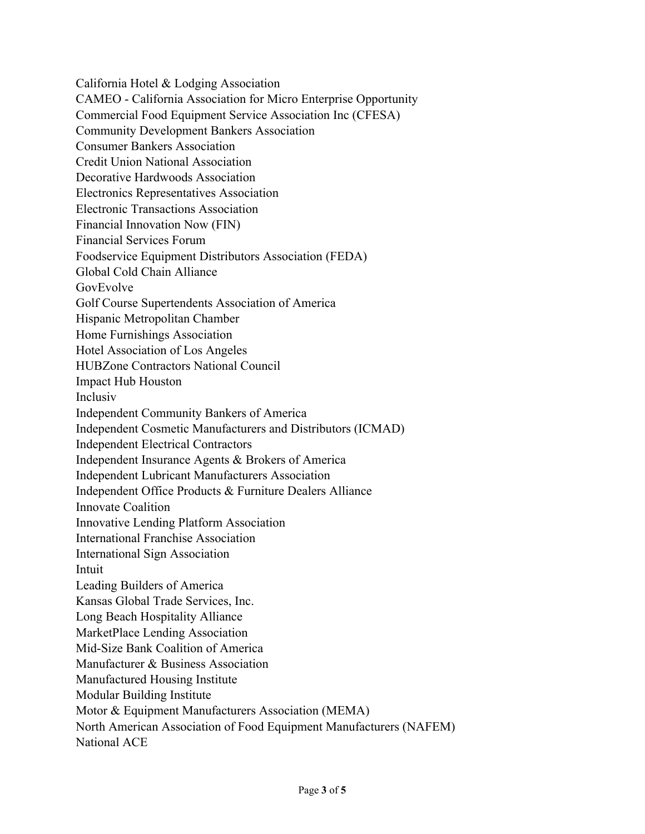California Hotel & Lodging Association CAMEO - California Association for Micro Enterprise Opportunity Commercial Food Equipment Service Association Inc (CFESA) Community Development Bankers Association Consumer Bankers Association Credit Union National Association Decorative Hardwoods Association Electronics Representatives Association Electronic Transactions Association Financial Innovation Now (FIN) Financial Services Forum Foodservice Equipment Distributors Association (FEDA) Global Cold Chain Alliance GovEvolve Golf Course Supertendents Association of America Hispanic Metropolitan Chamber Home Furnishings Association Hotel Association of Los Angeles HUBZone Contractors National Council Impact Hub Houston Inclusiv Independent Community Bankers of America Independent Cosmetic Manufacturers and Distributors (ICMAD) Independent Electrical Contractors Independent Insurance Agents & Brokers of America Independent Lubricant Manufacturers Association Independent Office Products & Furniture Dealers Alliance Innovate Coalition Innovative Lending Platform Association International Franchise Association International Sign Association Intuit Leading Builders of America Kansas Global Trade Services, Inc. Long Beach Hospitality Alliance MarketPlace Lending Association Mid-Size Bank Coalition of America Manufacturer & Business Association Manufactured Housing Institute Modular Building Institute Motor & Equipment Manufacturers Association (MEMA) North American Association of Food Equipment Manufacturers (NAFEM) National ACE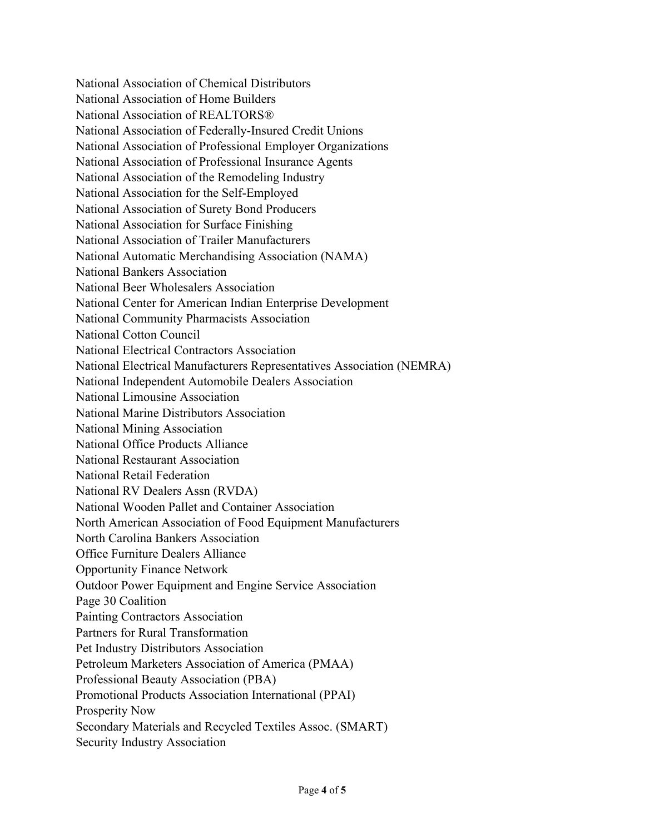National Association of Chemical Distributors National Association of Home Builders National Association of REALTORS® National Association of Federally-Insured Credit Unions National Association of Professional Employer Organizations National Association of Professional Insurance Agents National Association of the Remodeling Industry National Association for the Self-Employed National Association of Surety Bond Producers National Association for Surface Finishing National Association of Trailer Manufacturers National Automatic Merchandising Association (NAMA) National Bankers Association National Beer Wholesalers Association National Center for American Indian Enterprise Development National Community Pharmacists Association National Cotton Council National Electrical Contractors Association National Electrical Manufacturers Representatives Association (NEMRA) National Independent Automobile Dealers Association National Limousine Association National Marine Distributors Association National Mining Association National Office Products Alliance National Restaurant Association National Retail Federation National RV Dealers Assn (RVDA) National Wooden Pallet and Container Association North American Association of Food Equipment Manufacturers North Carolina Bankers Association Office Furniture Dealers Alliance Opportunity Finance Network Outdoor Power Equipment and Engine Service Association Page 30 Coalition Painting Contractors Association Partners for Rural Transformation Pet Industry Distributors Association Petroleum Marketers Association of America (PMAA) Professional Beauty Association (PBA) Promotional Products Association International (PPAI) Prosperity Now Secondary Materials and Recycled Textiles Assoc. (SMART) Security Industry Association